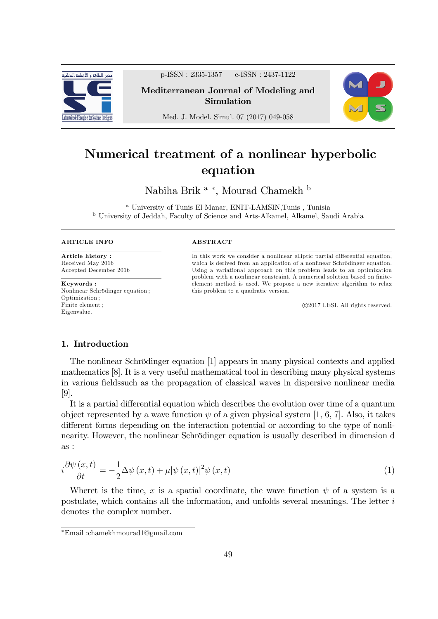

p-ISSN : 2335-1357 e-ISSN : 2437-1122

Mediterranean Journal of Modeling and Simulation



Med. J. Model. Simul. 07 (2017) 049-058

# Numerical treatment of a nonlinear hyperbolic equation

Nabiha Brik  $a^*$ , Mourad Chamekh $^{\rm b}$ 

<sup>a</sup> University of Tunis El Manar, ENIT-LAMSIN,Tunis , Tunisia <sup>b</sup> University of Jeddah, Faculty of Science and Arts-Alkamel, Alkamel, Saudi Arabia

| <b>ARTICLE INFO</b>             | <b>ABSTRACT</b>                                                                                                                                     |
|---------------------------------|-----------------------------------------------------------------------------------------------------------------------------------------------------|
| Article history:                | In this work we consider a nonlinear elliptic partial differential equation,                                                                        |
| Received May 2016               | which is derived from an application of a nonlinear Schrödinger equation.                                                                           |
| Accepted December 2016          | Using a variational approach on this problem leads to an optimization<br>problem with a nonlinear constraint. A numerical solution based on finite- |
| Keywords:                       | element method is used. We propose a new iterative algorithm to relax                                                                               |
| Nonlinear Schrödinger equation; | this problem to a quadratic version.                                                                                                                |
| Optimization:                   |                                                                                                                                                     |
| Finite element :                | @2017 LESI. All rights reserved.                                                                                                                    |
| Eigenvalue.                     |                                                                                                                                                     |

## 1. Introduction

The nonlinear Schrödinger equation [1] appears in many physical contexts and applied mathematics [8]. It is a very useful mathematical tool in describing many physical systems in various fields such as the propagation of classical waves in dispersive nonlinear media [9].

It is a partial differential equation which describes the evolution over time of a quantum object represented by a wave function  $\psi$  of a given physical system [1, 6, 7]. Also, it takes different forms depending on the interaction potential or according to the type of nonlinearity. However, the nonlinear Schrödinger equation is usually described in dimension d as :

$$
i\frac{\partial\psi\left(x,t\right)}{\partial t} = -\frac{1}{2}\Delta\psi\left(x,t\right) + \mu|\psi\left(x,t\right)|^2\psi\left(x,t\right) \tag{1}
$$

Wheret is the time, x is a spatial coordinate, the wave function  $\psi$  of a system is a postulate, which contains all the information, and unfolds several meanings. The letter  $i$ denotes the complex number.

Email :chamekhmourad1@gmail.com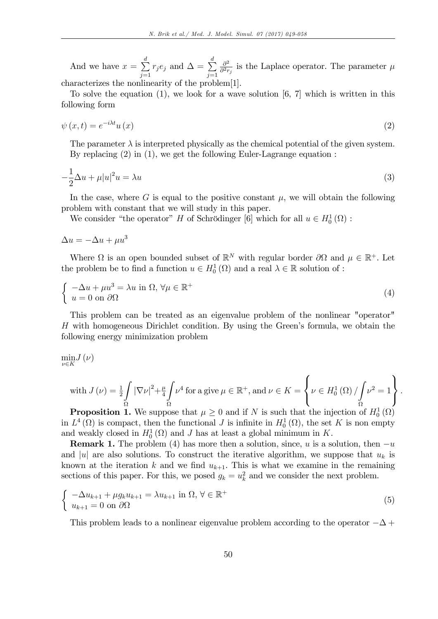And we have  $x = \sum_{n=1}^{d} x_n^2$  $j=1$  $r_j e_j$  and  $\Delta = \sum^d$  $j=1$  $\partial^2$  $\frac{\partial^2}{\partial^2 r_j}$  is the Laplace operator. The parameter  $\mu$ characterizes the nonlinearity of the problem[1].

To solve the equation  $(1)$ , we look for a wave solution  $[6, 7]$  which is written in this following form

$$
\psi(x,t) = e^{-i\lambda t} u(x) \tag{2}
$$

The parameter  $\lambda$  is interpreted physically as the chemical potential of the given system. By replacing (2) in (1), we get the following Euler-Lagrange equation :

$$
-\frac{1}{2}\Delta u + \mu |u|^2 u = \lambda u \tag{3}
$$

In the case, where G is equal to the positive constant  $\mu$ , we will obtain the following problem with constant that we will study in this paper.

We consider "the operator" H of Schrödinger [6] which for all  $u \in H_0^1(\Omega)$ :

$$
\Delta u = -\Delta u + \mu u^3
$$

Where  $\Omega$  is an open bounded subset of  $\mathbb{R}^N$  with regular border  $\partial\Omega$  and  $\mu \in \mathbb{R}^+$ . Let the problem be to find a function  $u \in H_0^1(\Omega)$  and a real  $\lambda \in \mathbb{R}$  solution of :

$$
\begin{cases}\n-\Delta u + \mu u^3 = \lambda u \text{ in } \Omega, \forall \mu \in \mathbb{R}^+ \\
u = 0 \text{ on } \partial \Omega\n\end{cases} (4)
$$

This problem can be treated as an eigenvalue problem of the nonlinear "operator"  $H$  with homogeneous Dirichlet condition. By using the Green's formula, we obtain the following energy minimization problem

$$
\min_{\nu\in K}J\left(\nu\right)
$$

with 
$$
J(\nu) = \frac{1}{2} \int_{\Omega} |\nabla \nu|^2 + \frac{\mu}{4} \int_{\Omega} \nu^4
$$
 for a give  $\mu \in \mathbb{R}^+$ , and  $\nu \in K = \left\{ \nu \in H_0^1(\Omega) / \int_{\Omega} \nu^2 = 1 \right\}$ 

:

**Proposition 1.** We suppose that  $\mu \geq 0$  and if N is such that the injection of  $H_0^1(\Omega)$ in  $L^4(\Omega)$  is compact, then the functional J is infinite in  $H_0^1(\Omega)$ , the set K is non empty and weakly closed in  $H_0^1(\Omega)$  and J has at least a global minimum in K.

**Remark 1.** The problem (4) has more then a solution, since, u is a solution, then  $-u$ and |u| are also solutions. To construct the iterative algorithm, we suppose that  $u_k$  is known at the iteration k and we find  $u_{k+1}$ . This is what we examine in the remaining sections of this paper. For this, we posed  $g_k = u_k^2$  and we consider the next problem.

$$
\begin{cases}\n-\Delta u_{k+1} + \mu g_k u_{k+1} = \lambda u_{k+1} \text{ in } \Omega, \forall \in \mathbb{R}^+ \\
u_{k+1} = 0 \text{ on } \partial\Omega\n\end{cases} (5)
$$

This problem leads to a nonlinear eigenvalue problem according to the operator  $-\Delta$  +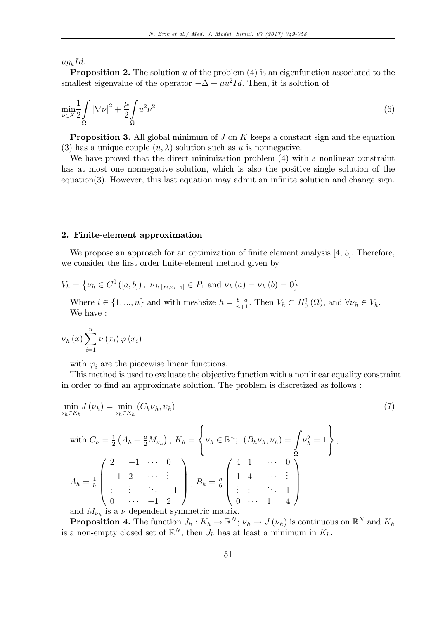$\mu g_k Id.$ 

**Proposition 2.** The solution u of the problem  $(4)$  is an eigenfunction associated to the smallest eigenvalue of the operator  $-\Delta + \mu u^2 Id$ . Then, it is solution of

$$
\min_{\nu \in K} \frac{1}{2} \int\limits_{\Omega} |\nabla \nu|^2 + \frac{\mu}{2} \int\limits_{\Omega} u^2 \nu^2 \tag{6}
$$

**Proposition 3.** All global minimum of  $J$  on  $K$  keeps a constant sign and the equation (3) has a unique couple  $(u, \lambda)$  solution such as u is nonnegative.

We have proved that the direct minimization problem (4) with a nonlinear constraint has at most one nonnegative solution, which is also the positive single solution of the  $equation(3)$ . However, this last equation may admit an infinite solution and change sign.

#### 2. Finite-element approximation

We propose an approach for an optimization of finite element analysis  $[4, 5]$ . Therefore, we consider the first order finite-element method given by

 $V_h = \{ \nu_h \in C^0([a, b]) ; \nu_{h|[x_i, x_{i+1}]} \in P_1 \text{ and } \nu_h(a) = \nu_h(b) = 0 \}$ 

Where  $i \in \{1, ..., n\}$  and with meshsize  $h = \frac{b-a}{n+1}$ . Then  $V_h \subset H_0^1(\Omega)$ , and  $\forall \nu_h \in V_h$ . We have :

$$
\nu_{h}\left(x\right)\sum_{i=1}^{n}\nu\left(x_{i}\right)\varphi\left(x_{i}\right)
$$

with  $\varphi_i$  are the piecewise linear functions.

This method is used to evaluate the objective function with a nonlinear equality constraint in order to find an approximate solution. The problem is discretized as follows :

$$
\min_{\nu_h \in K_h} J(\nu_h) = \min_{\nu_h \in K_h} (C_h \nu_h, \nu_h)
$$
\n<sup>(7)</sup>

with 
$$
C_h = \frac{1}{2} (A_h + \frac{\mu}{2} M_{\nu_h}), K_h = \begin{cases} \nu_h \in \mathbb{R}^n; (B_h \nu_h, \nu_h) = \int \nu_h^2 = 1 \\ 0, \quad \nu_h = 1 \end{cases}
$$
,  

$$
A_h = \frac{1}{h} \begin{pmatrix} 2 & -1 & \cdots & 0 \\ -1 & 2 & \cdots & \vdots \\ \vdots & \vdots & \ddots & -1 \\ 0 & \cdots & -1 & 2 \end{pmatrix}, B_h = \frac{h}{6} \begin{pmatrix} 4 & 1 & \cdots & 0 \\ 1 & 4 & \cdots & \vdots \\ \vdots & \vdots & \ddots & 1 \\ 0 & \cdots & 1 & 4 \end{pmatrix},
$$

and  $M_{\nu_h}$  is a  $\nu$  dependent symmetric matrix.

**Proposition 4.** The function  $J_h: K_h \to \mathbb{R}^N$ ;  $\nu_h \to J(\nu_h)$  is continuous on  $\mathbb{R}^N$  and  $K_h$ is a non-empty closed set of  $\mathbb{R}^N$ , then  $J_h$  has at least a minimum in  $K_h$ .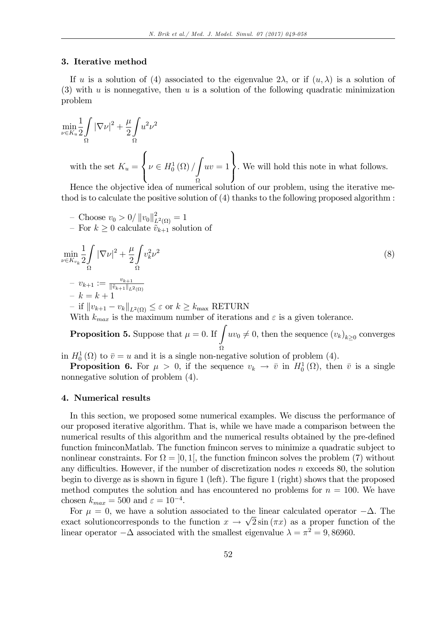#### 3. Iterative method

If u is a solution of (4) associated to the eigenvalue  $2\lambda$ , or if  $(u, \lambda)$  is a solution of (3) with u is nonnegative, then u is a solution of the following quadratic minimization problem

$$
\min_{\nu \in K_u} \frac{1}{2} \int_{\Omega} |\nabla \nu|^2 + \frac{\mu}{2} \int_{\Omega} u^2 \nu^2
$$
  
with the set  $K_u = \left\{ \nu \in H_0^1(\Omega) / \int_{\Omega} uv = 1 \right\}$ . We will hold this note in what follows.

Hence the objective idea of numerical solution of our problem, using the iterative method is to calculate the positive solution of (4) thanks to the following proposed algorithm :

- Choose  $v_0 > 0 / ||v_0||_L^2$  $L^2(\Omega) = 1$ 

- For 
$$
k \geq 0
$$
 calculate  $\tilde{v}_{k+1}$  solution of

$$
\min_{\nu \in K_{v_k}} \frac{1}{2} \int_{\Omega} |\nabla \nu|^2 + \frac{\mu}{2} \int_{\Omega} v_k^2 \nu^2
$$
\n
$$
- v_{k+1} := \frac{v_{k+1}}{\|\tilde{v}_{k+1}\|_{L^2(\Omega)}} - k = k+1
$$
\n
$$
- \text{ if } \|v_{k+1} - v_k\|_{L^2(\Omega)} \le \varepsilon \text{ or } k \ge k_{\text{max}} \text{ RETURN}
$$
\n
$$
\sum_{k=1}^{k+1} \int_{-\infty}^{+\infty} |v_k|^2 \nu_k^2 \nu_k^2 \nu_k^2
$$
\n
$$
\le \varepsilon \text{ or } k \ge k_{\text{max}} \text{ RETURN}
$$

With  $k_{max}$  is the maximum number of iterations and  $\varepsilon$  is a given tolerance.

**Proposition 5.** Suppose that  $\mu = 0$ . If  $\int uv_0 \neq 0$ , then the sequence  $(v_k)_{k \geq 0}$  converges Ω

in  $H_0^1(\Omega)$  to  $\overline{v} = u$  and it is a single non-negative solution of problem (4).

**Proposition 6.** For  $\mu > 0$ , if the sequence  $v_k \to \bar{v}$  in  $H_0^1(\Omega)$ , then  $\bar{v}$  is a single nonnegative solution of problem (4).

#### 4. Numerical results

In this section, we proposed some numerical examples. We discuss the performance of our proposed iterative algorithm. That is, while we have made a comparison between the numerical results of this algorithm and the numerical results obtained by the pre-defined function fminconMatlab. The function fmincon serves to minimize a quadratic subject to nonlinear constraints. For  $\Omega = \left] 0, 1 \right[$ , the function fmincon solves the problem (7) without any difficulties. However, if the number of discretization nodes  $n$  exceeds 80, the solution begin to diverge as is shown in figure 1 (left). The figure 1 (right) shows that the proposed method computes the solution and has encountered no problems for  $n = 100$ . We have chosen  $k_{max} = 500$  and  $\varepsilon = 10^{-4}$ .

For  $\mu = 0$ , we have a solution associated to the linear calculated operator  $-\Delta$ . The exact solutioncorresponds to the function  $x \to \sqrt{2} \sin(\pi x)$  as a proper function of the linear operator  $-\Delta$  associated with the smallest eigenvalue  $\lambda = \pi^2 = 9,86960$ .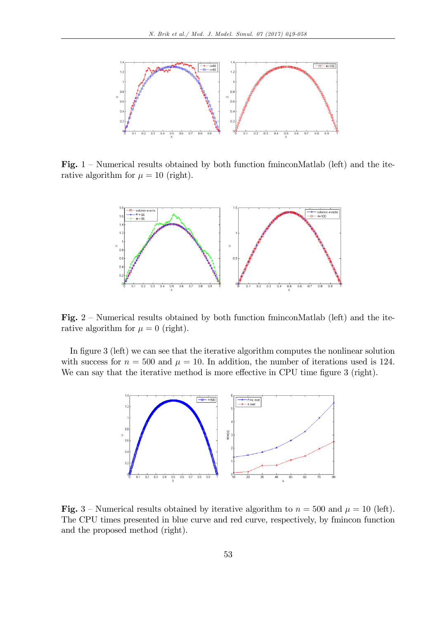

Fig.  $1$  – Numerical results obtained by both function fminconMatlab (left) and the iterative algorithm for  $\mu = 10$  (right).



Fig.  $2$  – Numerical results obtained by both function fminconMatlab (left) and the iterative algorithm for  $\mu = 0$  (right).

In figure 3 (left) we can see that the iterative algorithm computes the nonlinear solution with success for  $n = 500$  and  $\mu = 10$ . In addition, the number of iterations used is 124. We can say that the iterative method is more effective in CPU time figure 3 (right).



Fig. 3 – Numerical results obtained by iterative algorithm to  $n = 500$  and  $\mu = 10$  (left). The CPU times presented in blue curve and red curve, respectively, by fmincon function and the proposed method (right).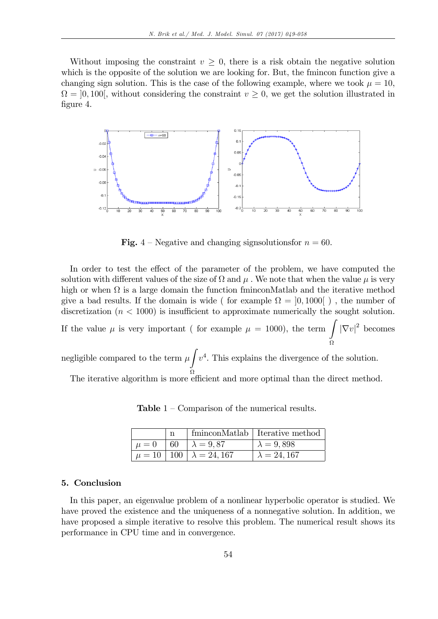Without imposing the constraint  $v \geq 0$ , there is a risk obtain the negative solution which is the opposite of the solution we are looking for. But, the fmincon function give a changing sign solution. This is the case of the following example, where we took  $\mu = 10$ ,  $\Omega = ]0,100[$ , without considering the constraint  $v \ge 0$ , we get the solution illustrated in figure 4.



**Fig.** 4 – Negative and changing signsolutions for  $n = 60$ .

In order to test the effect of the parameter of the problem, we have computed the solution with different values of the size of  $\Omega$  and  $\mu$  . We note that when the value  $\mu$  is very high or when  $\Omega$  is a large domain the function fminconMatlab and the iterative method give a bad results. If the domain is wide ( for example  $\Omega = [0, 1000]$  ), the number of discretization  $(n < 1000)$  is insufficient to approximate numerically the sought solution.

If the value  $\mu$  is very important ( for example  $\mu = 1000$ ), the term  $\int |\nabla v|^2$  becomes Ω

negligible compared to the term  $\mu$ Z Ω  $v<sup>4</sup>$ . This explains the divergence of the solution.

The iterative algorithm is more efficient and more optimal than the direct method.

**Table**  $1$  – Comparison of the numerical results.

|         |                                      | fminconMatlab   Iterative method |
|---------|--------------------------------------|----------------------------------|
| $\mu=0$ | 60 $\lambda = 9.87$                  | $\lambda = 9,898$                |
|         | $\mu = 10   100   \lambda = 24, 167$ | $\lambda = 24, 167$              |

#### 5. Conclusion

In this paper, an eigenvalue problem of a nonlinear hyperbolic operator is studied. We have proved the existence and the uniqueness of a nonnegative solution. In addition, we have proposed a simple iterative to resolve this problem. The numerical result shows its performance in CPU time and in convergence.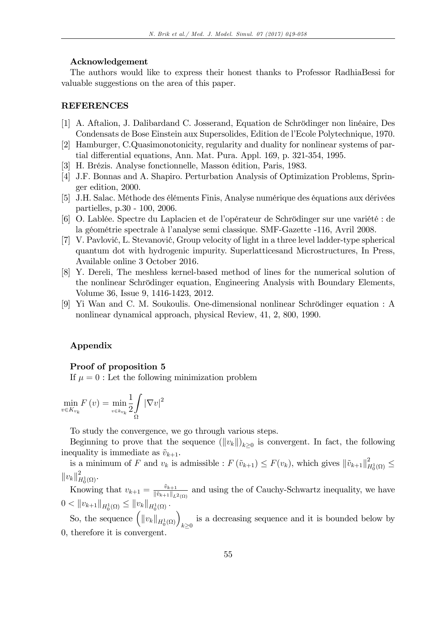#### Acknowledgement

The authors would like to express their honest thanks to Professor RadhiaBessi for valuable suggestions on the area of this paper.

#### REFERENCES

- [1] A. Aftalion, J. Dalibardand C. Josserand, Equation de Schrödinger non linéaire, Des Condensats de Bose Einstein aux Supersolides, Edition de l'Ecole Polytechnique, 1970.
- [2] Hamburger, C.Quasimonotonicity, regularity and duality for nonlinear systems of partial differential equations, Ann. Mat. Pura. Appl. 169, p. 321-354, 1995.
- [3] H. Brézis. Analyse fonctionnelle, Masson édition, Paris, 1983.
- [4] J.F. Bonnas and A. Shapiro. Perturbation Analysis of Optimization Problems, Springer edition, 2000.
- [5] J.H. Salac. Méthode des éléments Finis, Analyse numérique des équations aux dérivées partielles, p.30 - 100, 2006.
- [6] O. Lablée. Spectre du Laplacien et de l'opérateur de Schrödinger sur une variété : de la géométrie spectrale à l'analyse semi classique. SMF-Gazette -116, Avril 2008.
- $[7]$  V. Pavlović, L. Stevanović, Group velocity of light in a three level ladder-type spherical quantum dot with hydrogenic impurity. Superlatticesand Microstructures, In Press, Available online 3 October 2016.
- [8] Y. Dereli, The meshless kernel-based method of lines for the numerical solution of the nonlinear Schrödinger equation, Engineering Analysis with Boundary Elements, Volume 36, Issue 9, 1416-1423, 2012.
- [9] Yi Wan and C. M. Soukoulis. One-dimensional nonlinear Schrödinger equation : A nonlinear dynamical approach, physical Review, 41, 2, 800, 1990.

#### Appendix

#### Proof of proposition 5

If  $\mu = 0$ : Let the following minimization problem

$$
\min_{v \in K_{v_k}} F(v) = \min_{v \in k_{v_k}} \frac{1}{2} \int_{\Omega} |\nabla v|^2
$$

To study the convergence, we go through various steps.

Beginning to prove that the sequence  $(||v_k||)_{k\geq 0}$  is convergent. In fact, the following inequality is immediate as  $\tilde{v}_{k+1}$ .

is a minimum of F and  $v_k$  is admissible :  $F(\tilde{v}_{k+1}) \leq F(v_k)$ , which gives  $\|\tilde{v}_{k+1}\|_F^2$  $H_0^1(\Omega) \cong$  $||v_k||_F^2$  $^L_{H^1_0(\Omega)}$ .

Knowing that  $v_{k+1} = \frac{\tilde{v}_{k+1}}{\|\tilde{v}_{k+1}\|_{\infty}}$  $\frac{v_{k+1}}{\|\tilde{v}_{k+1}\|_{L^2(\Omega)}}$  and using the of Cauchy-Schwartz inequality, we have  $0 < ||v_{k+1}||_{H_0^1(\Omega)} \leq ||v_k||_{H_0^1(\Omega)}.$ 

So, the sequence  $\left( ||v_k||_{H_0^1(\Omega)} \right)_{k \geq 0}$ is a decreasing sequence and it is bounded below by 0, therefore it is convergent.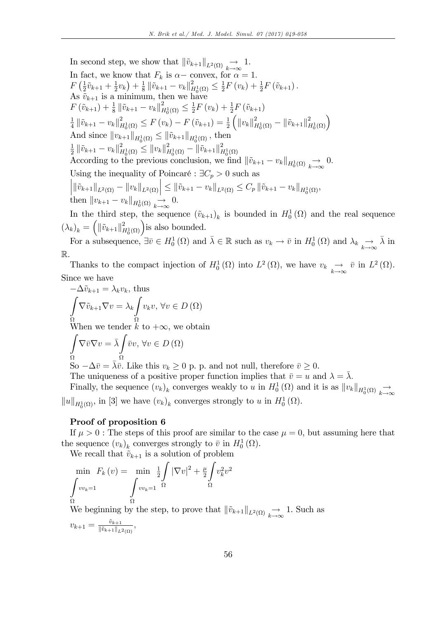In second step, we show that 
$$
\|\tilde{v}_{k+1}\|_{L^2(\Omega)} \to 1
$$
.  
\nIn fact, we know that  $F_k$  is  $\alpha$  - convex, for  $\alpha = 1$ .  
\n $F\left(\frac{1}{2}\tilde{v}_{k+1} + \frac{1}{2}v_k\right) + \frac{1}{8}\|\tilde{v}_{k+1} - v_k\|_{H_0^1(\Omega)}^2 \le \frac{1}{2}F\left(v_k\right) + \frac{1}{2}F\left(\tilde{v}_{k+1}\right)$ .  
\nAs  $\tilde{v}_{k+1}$  is a minimum, then we have  
\n $F\left(\tilde{v}_{k+1}\right) + \frac{1}{8}\|\tilde{v}_{k+1} - v_k\|_{H_0^1(\Omega)}^2 \le \frac{1}{2}F\left(v_k\right) + \frac{1}{2}F\left(\tilde{v}_{k+1}\right)$   
\n $\frac{1}{4}\|\tilde{v}_{k+1} - v_k\|_{H_0^1(\Omega)}^2 \le F\left(v_k\right) - F\left(\tilde{v}_{k+1}\right) = \frac{1}{2}\left(\|v_k\|_{H_0^1(\Omega)}^2 - \|\tilde{v}_{k+1}\|_{H_0^1(\Omega)}^2\right)$   
\nAnd since  $\|v_{k+1}\|_{H_0^1(\Omega)} \le \|\tilde{v}_{k+1}\|_{H_0^1(\Omega)}$ , then  
\n $\frac{1}{2}\|\tilde{v}_{k+1} - v_k\|_{H_0^1(\Omega)}^2 \le \|v_k\|_{H_0^1(\Omega)}^2 - \|\tilde{v}_{k+1}\|_{H_0^1(\Omega)}^2$   
\nAccording to the previous conclusion, we find  $\|\tilde{v}_{k+1} - v_k\|_{H_0^1(\Omega)} \to 0$ .  
\nUsing the inequality of Poincaré :  $\exists C_p > 0$  such as  
\n $\|\|\tilde{v}_{k+1}\|_{L^2(\Omega)} - \|v_k\|_{L^2(\Omega)} \le \|\tilde{v}_{k+1} - v_k\|_{L^2(\Omega)} \le C_p \|\tilde{v}_{k+1} - v_k\|_{H_0^1(\Omega)}$ ,  
\nthen  $\|v_{k+1} - v_k\|_{H_0^1(\Omega)} \xrightarrow{\to}$ 

real sequence  $(\lambda_k)_k = \left( \|\tilde{v}_{k+1}\|_F^2 \right)$  $\binom{2}{H_0^1(\Omega)}$  is also bounded.

For a subsequence,  $\exists \bar{v} \in H_0^1(\Omega)$  and  $\bar{\lambda} \in \mathbb{R}$  such as  $v_k \to \bar{v}$  in  $H_0^1(\Omega)$  and  $\lambda_k \to \bar{\lambda}$  in R.

Thanks to the compact injection of  $H_0^1(\Omega)$  into  $L^2(\Omega)$ , we have  $v_k \underset{k\to\infty}{\to} \bar{v}$  in  $L^2(\Omega)$ . Since we have

$$
-\Delta \tilde{v}_{k+1} = \lambda_k v_k, \text{ thus}
$$

$$
\int_{\Omega} \nabla \tilde{v}_{k+1} \nabla v = \lambda_k \int_{\Omega} v_k v, \forall v \in D(\Omega)
$$

$$
\Omega
$$
When we tender  $k$  to  $+\infty$ , we obtain

$$
\int_{\Omega} \nabla \bar{v} \nabla v = \bar{\lambda} \int_{\Omega} \bar{v} v, \,\forall v \in D(\Omega)
$$

So  $-\Delta \bar{v} = \bar{\lambda} \bar{v}$ . Like this  $v_k \geq 0$  p. p. and not null, therefore  $\bar{v} \geq 0$ .

The uniqueness of a positive proper function implies that  $\bar{v} = u$  and  $\lambda = \bar{\lambda}$ .

Finally, the sequence  $(v_k)_k$  converges weakly to u in  $H_0^1(\Omega)$  and it is as  $||v_k||_{H_0^1(\Omega)} \to$  $||u||_{H_0^1(\Omega)}$ , in [3] we have  $(v_k)_k$  converges strongly to u in  $H_0^1(\Omega)$ .

### Proof of proposition 6

If  $\mu > 0$ : The steps of this proof are similar to the case  $\mu = 0$ , but assuming here that the sequence  $(v_k)_k$  converges strongly to  $\bar{v}$  in  $H_0^1(\Omega)$ .

We recall that  $\tilde{v}_{k+1}$  is a solution of problem

$$
\min_{\Omega} F_k(v) = \min_{\Omega} \frac{1}{2} \int_{v v_k = 1} |\nabla v|^2 + \frac{\mu}{2} \int_{\Omega} v_k^2 v^2
$$

We beginning by the step, to prove that  $\|\tilde{v}_{k+1}\|_{L^2(\Omega)} \to 1$ . Such as

$$
v_{k+1} = \frac{\tilde{v}_{k+1}}{\|\tilde{v}_{k+1}\|_{L^2(\Omega)}},
$$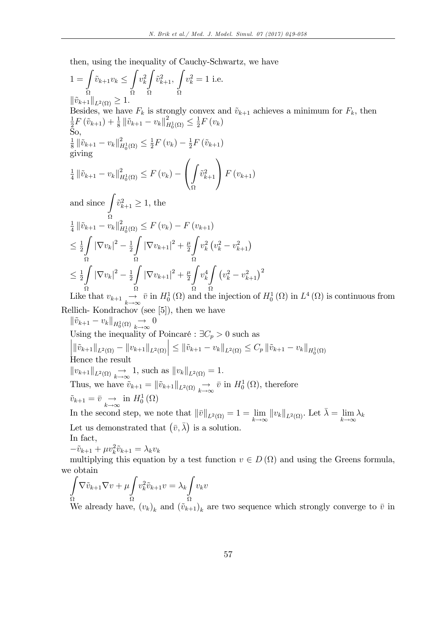then, using the inequality of Cauchy-Schwartz, we have

$$
1 = \int_{\Omega} \tilde{v}_{k+1} v_k \leq \int_{\Omega} v_k^2 \int_{\Omega} \tilde{v}_{k+1}^2, \int_{\Omega} v_k^2 = 1 \text{ i.e.}
$$
  
\n
$$
\|\tilde{v}_{k+1}\|_{L^2(\Omega)} \geq 1.
$$
  
\nBesides, we have  $F_k$  is strongly convex and  $\tilde{v}_{k+1}$  achieves a minimum for  $F_k$ , then  $\frac{1}{2}F(\tilde{v}_{k+1}) + \frac{1}{8} \|\tilde{v}_{k+1} - v_k\|_{H_0^1(\Omega)}^2 \leq \frac{1}{2}F(v_k)$   
\nSo,  
\n
$$
\frac{1}{8} \|\tilde{v}_{k+1} - v_k\|_{H_0^1(\Omega)}^2 \leq \frac{1}{2}F(v_k) - \frac{1}{2}F(\tilde{v}_{k+1})
$$
  
\ngiving  
\n
$$
\frac{1}{4} \|\tilde{v}_{k+1} - v_k\|_{H_0^1(\Omega)}^2 \leq F(v_k) - \left(\int_{\Omega} \tilde{v}_{k+1}^2 \right) F(v_{k+1})
$$
  
\nand since 
$$
\int_{\Omega} \tilde{v}_{k+1}^2 \geq 1
$$
, the  
\n
$$
\frac{1}{4} \|\tilde{v}_{k+1} - v_k\|_{H_0^1(\Omega)}^2 \leq F(v_k) - F(v_{k+1})
$$
  
\n
$$
\leq \frac{1}{2} \int_{\Omega} |\nabla v_k|^2 - \frac{1}{2} \int_{\Omega} |\nabla v_{k+1}|^2 + \frac{\mu}{2} \int_{\Omega} v_k^2 (v_k^2 - v_{k+1}^2)
$$
  
\n
$$
\leq \frac{1}{2} \int_{\Omega} |\nabla v_k|^2 - \frac{1}{2} \int_{\Omega} |\nabla v_{k+1}|^2 + \frac{\mu}{2} \int_{\Omega} v_k^4 \int_{\Omega} (v_k^2 - v_{k+1}^2)^2
$$
  
\nLike that  $v_{k+1} \xrightarrow{\sim} \bar{v}$  in  $H_0^1(\Omega)$  and the injection of  $H_0^1(\Omega)$  in  $L^4(\Omega)$  is continuous from

Rellich- Kondrachov (see [5]), then we have

 $\|\tilde{v}_{k+1} - v_k\|_{H_0^1(\Omega)} \to 0$ Using the inequality of Poincaré :  $\exists C_p > 0$  such as  $\left\| \|\tilde{v}_{k+1} \|_{L^2(\Omega)} - \|v_{k+1} \|_{L^2(\Omega)} \right\|$  $\leq ||\tilde{v}_{k+1} - v_k||_{L^2(\Omega)} \leq C_p ||\tilde{v}_{k+1} - v_k||_{H_0^1(\Omega)}$ Hence the result  $||v_{k+1}||_{L^2(\Omega)} \to 1$ , such as  $||v_k||_{L^2(\Omega)} = 1$ . Thus, we have  $\tilde{v}_{k+1} = ||\tilde{v}_{k+1}||_{L^2(\Omega)} \to \bar{v}$  in  $H_0^1(\Omega)$ , therefore  $\tilde{v}_{k+1} = \bar{v} \underset{k \to \infty}{\to} \text{ in } H_0^1(\Omega)$ In the second step, we note that  $\|\bar{v}\|_{L^2(\Omega)} = 1 = \lim_{k \to \infty} \|v_k\|_{L^2(\Omega)}$ . Let  $\bar{\lambda} = \lim_{k \to \infty}$  $\lambda_k$ 

Let us demonstrated that  $(\bar{v}, \bar{\lambda})$  is a solution.  $\mathbf{I}_p$   $\mathbf{f}_{\alpha}$ 

$$
\frac{\text{max}}{2}
$$

$$
-\tilde{v}_{k+1} + \mu v_k^2 \tilde{v}_{k+1} = \lambda_k v_k
$$
 multiplying this equation by a test function  $v \in D(\Omega)$  and using the Green's formula, we obtain

$$
\int_{\Omega} \nabla \tilde{v}_{k+1} \nabla v + \mu \int_{\Omega} v_k^2 \tilde{v}_{k+1} v = \lambda_k \int_{\Omega} v_k v
$$
\nWe already have,  $(v_k)_k$  and  $(\tilde{v}_{k+1})_k$  are two sequence which strongly converge to  $\bar{v}$  in